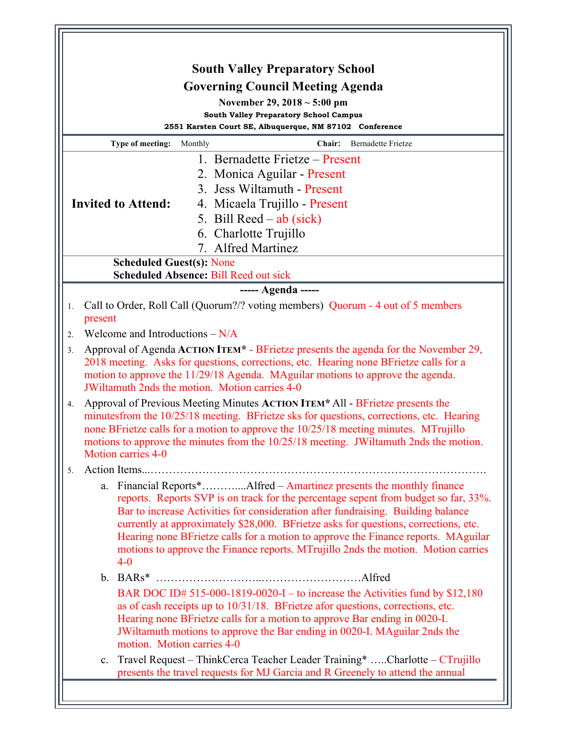|                                                                                                                                                                         |             |                                                                                                                                                                                                                                                                                                                                                                                |         | <b>South Valley Preparatory School</b>                                                                                                                                                                                                                                                                                                                                                                                                                                                                           |  |
|-------------------------------------------------------------------------------------------------------------------------------------------------------------------------|-------------|--------------------------------------------------------------------------------------------------------------------------------------------------------------------------------------------------------------------------------------------------------------------------------------------------------------------------------------------------------------------------------|---------|------------------------------------------------------------------------------------------------------------------------------------------------------------------------------------------------------------------------------------------------------------------------------------------------------------------------------------------------------------------------------------------------------------------------------------------------------------------------------------------------------------------|--|
|                                                                                                                                                                         |             |                                                                                                                                                                                                                                                                                                                                                                                |         | <b>Governing Council Meeting Agenda</b>                                                                                                                                                                                                                                                                                                                                                                                                                                                                          |  |
|                                                                                                                                                                         |             |                                                                                                                                                                                                                                                                                                                                                                                |         | November 29, $2018 \sim 5:00 \text{ pm}$                                                                                                                                                                                                                                                                                                                                                                                                                                                                         |  |
| <b>South Valley Preparatory School Campus</b><br>2551 Karsten Court SE, Albuquerque, NM 87102 Conference                                                                |             |                                                                                                                                                                                                                                                                                                                                                                                |         |                                                                                                                                                                                                                                                                                                                                                                                                                                                                                                                  |  |
|                                                                                                                                                                         |             | Type of meeting:                                                                                                                                                                                                                                                                                                                                                               | Monthly | Chair:<br>Bernadette Frietze                                                                                                                                                                                                                                                                                                                                                                                                                                                                                     |  |
|                                                                                                                                                                         |             |                                                                                                                                                                                                                                                                                                                                                                                |         | 1. Bernadette Frietze – Present                                                                                                                                                                                                                                                                                                                                                                                                                                                                                  |  |
|                                                                                                                                                                         |             |                                                                                                                                                                                                                                                                                                                                                                                |         | 2. Monica Aguilar - Present                                                                                                                                                                                                                                                                                                                                                                                                                                                                                      |  |
|                                                                                                                                                                         |             |                                                                                                                                                                                                                                                                                                                                                                                |         | 3. Jess Wiltamuth - Present                                                                                                                                                                                                                                                                                                                                                                                                                                                                                      |  |
|                                                                                                                                                                         |             | <b>Invited to Attend:</b>                                                                                                                                                                                                                                                                                                                                                      |         | 4. Micaela Trujillo - Present                                                                                                                                                                                                                                                                                                                                                                                                                                                                                    |  |
|                                                                                                                                                                         |             |                                                                                                                                                                                                                                                                                                                                                                                |         | 5. Bill Reed $-$ ab (sick)                                                                                                                                                                                                                                                                                                                                                                                                                                                                                       |  |
|                                                                                                                                                                         |             |                                                                                                                                                                                                                                                                                                                                                                                |         | 6. Charlotte Trujillo                                                                                                                                                                                                                                                                                                                                                                                                                                                                                            |  |
|                                                                                                                                                                         |             |                                                                                                                                                                                                                                                                                                                                                                                |         | 7. Alfred Martinez                                                                                                                                                                                                                                                                                                                                                                                                                                                                                               |  |
|                                                                                                                                                                         |             | <b>Scheduled Guest(s): None</b>                                                                                                                                                                                                                                                                                                                                                |         |                                                                                                                                                                                                                                                                                                                                                                                                                                                                                                                  |  |
|                                                                                                                                                                         |             |                                                                                                                                                                                                                                                                                                                                                                                |         | <b>Scheduled Absence: Bill Reed out sick</b>                                                                                                                                                                                                                                                                                                                                                                                                                                                                     |  |
|                                                                                                                                                                         |             |                                                                                                                                                                                                                                                                                                                                                                                |         | ----- Agenda -----                                                                                                                                                                                                                                                                                                                                                                                                                                                                                               |  |
| Call to Order, Roll Call (Quorum?/? voting members) Quorum - 4 out of 5 members<br>1.<br>present                                                                        |             |                                                                                                                                                                                                                                                                                                                                                                                |         |                                                                                                                                                                                                                                                                                                                                                                                                                                                                                                                  |  |
| Welcome and Introductions $-N/A$<br>2 <sub>1</sub>                                                                                                                      |             |                                                                                                                                                                                                                                                                                                                                                                                |         |                                                                                                                                                                                                                                                                                                                                                                                                                                                                                                                  |  |
| Approval of Agenda ACTION ITEM <sup>*</sup> - BFrietze presents the agenda for the November 29,<br>3 <sub>1</sub>                                                       |             |                                                                                                                                                                                                                                                                                                                                                                                |         |                                                                                                                                                                                                                                                                                                                                                                                                                                                                                                                  |  |
| 2018 meeting. Asks for questions, corrections, etc. Hearing none BFrietze calls for a<br>motion to approve the 11/29/18 Agenda. MAguilar motions to approve the agenda. |             |                                                                                                                                                                                                                                                                                                                                                                                |         |                                                                                                                                                                                                                                                                                                                                                                                                                                                                                                                  |  |
|                                                                                                                                                                         |             |                                                                                                                                                                                                                                                                                                                                                                                |         | JWiltamuth 2nds the motion. Motion carries 4-0                                                                                                                                                                                                                                                                                                                                                                                                                                                                   |  |
| 4.                                                                                                                                                                      |             | Approval of Previous Meeting Minutes ACTION ITEM* All - BFrietze presents the<br>minutesfrom the 10/25/18 meeting. BFrietze sks for questions, corrections, etc. Hearing<br>none BFrietze calls for a motion to approve the 10/25/18 meeting minutes. MTrujillo<br>motions to approve the minutes from the 10/25/18 meeting. JWiltamuth 2nds the motion.<br>Motion carries 4-0 |         |                                                                                                                                                                                                                                                                                                                                                                                                                                                                                                                  |  |
| 5.                                                                                                                                                                      |             |                                                                                                                                                                                                                                                                                                                                                                                |         |                                                                                                                                                                                                                                                                                                                                                                                                                                                                                                                  |  |
|                                                                                                                                                                         |             | $4 - 0$                                                                                                                                                                                                                                                                                                                                                                        |         | a. Financial Reports*Alfred – Amartinez presents the monthly finance<br>reports. Reports SVP is on track for the percentage sepent from budget so far, 33%.<br>Bar to increase Activities for consideration after fundraising. Building balance<br>currently at approximately \$28,000. BFrietze asks for questions, corrections, etc.<br>Hearing none BFrietze calls for a motion to approve the Finance reports. MAguilar<br>motions to approve the Finance reports. MTrujillo 2nds the motion. Motion carries |  |
|                                                                                                                                                                         | $b_{\cdot}$ |                                                                                                                                                                                                                                                                                                                                                                                |         |                                                                                                                                                                                                                                                                                                                                                                                                                                                                                                                  |  |
|                                                                                                                                                                         |             | motion. Motion carries 4-0                                                                                                                                                                                                                                                                                                                                                     |         | BAR DOC ID# 515-000-1819-0020-I – to increase the Activities fund by \$12,180<br>as of cash receipts up to 10/31/18. BFrietze afor questions, corrections, etc.<br>Hearing none BFrietze calls for a motion to approve Bar ending in 0020-I.<br>JWiltamuth motions to approve the Bar ending in 0020-I. MAguilar 2nds the                                                                                                                                                                                        |  |
|                                                                                                                                                                         | $c_{\cdot}$ |                                                                                                                                                                                                                                                                                                                                                                                |         | Travel Request - ThinkCerca Teacher Leader Training* Charlotte - CTrujillo<br>presents the travel requests for MJ Garcia and R Greenely to attend the annual                                                                                                                                                                                                                                                                                                                                                     |  |